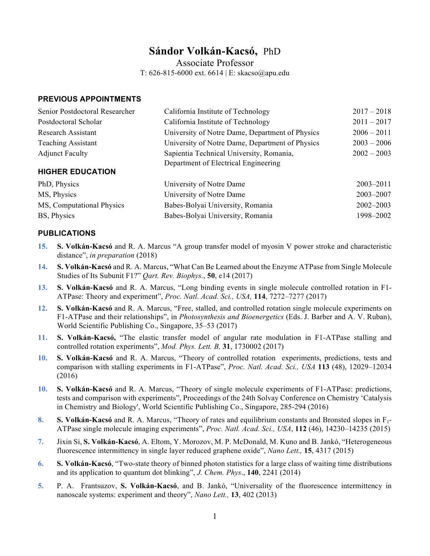# **Sándor Volkán-Kacsó,** PhD

Associate Professor

T: 626-815-6000 ext. 6614 | E: skacso@apu.edu

#### **PREVIOUS APPOINTMENTS**

| Senior Postdoctoral Researcher | California Institute of Technology                                               | $2017 - 2018$ |
|--------------------------------|----------------------------------------------------------------------------------|---------------|
| Postdoctoral Scholar           | California Institute of Technology                                               | $2011 - 2017$ |
| <b>Research Assistant</b>      | University of Notre Dame, Department of Physics                                  | $2006 - 2011$ |
| <b>Teaching Assistant</b>      | University of Notre Dame, Department of Physics                                  | $2003 - 2006$ |
| <b>Adjunct Faculty</b>         | Sapientia Technical University, Romania,<br>Department of Electrical Engineering | $2002 - 2003$ |
| <b>HIGHER EDUCATION</b>        |                                                                                  |               |
| PhD, Physics                   | University of Notre Dame                                                         | $2003 - 2011$ |
| MS, Physics                    | University of Notre Dame                                                         | 2003-2007     |
| MS, Computational Physics      | Babes-Bolyai University, Romania                                                 | $2002 - 2003$ |
| BS, Physics                    | Babes-Bolyai University, Romania                                                 | 1998–2002     |

### **PUBLICATIONS**

- **15. S. Volkán-Kacsó** and R. A. Marcus "A group transfer model of myosin V power stroke and characteristic distance", *in preparation* (2018)
- **14. S. Volkán-Kacsó** and R. A. Marcus, "What Can Be Learned about the Enzyme ATPase from Single Molecule Studies of Its Subunit F1?" *Qart. Rev. Biophys.*, **50**, e14 (2017)
- **13. S. Volkán-Kacsó** and R. A. Marcus, "Long binding events in single molecule controlled rotation in F1- ATPase: Theory and experiment", *Proc. Natl. Acad. Sci., USA,* **114**, 7272–7277 (2017)
- **12. S. Volkán-Kacsó** and R. A. Marcus, "Free, stalled, and controlled rotation single molecule experiments on F1-ATPase and their relationships", in *Photosynthesis and Bioenergetics* (Eds. J. Barber and A. V. Ruban), World Scientific Publishing Co., Singapore, 35–53 (2017)
- **11. S. Volkán-Kacsó,** "The elastic transfer model of angular rate modulation in F1-ATPase stalling and controlled rotation experiments", *Mod. Phys. Lett. B,* **31**, 1730002 (2017)
- **10. S. Volkán-Kacsó** and R. A. Marcus, "Theory of controlled rotation experiments, predictions, tests and comparison with stalling experiments in F1-ATPase", *Proc. Natl. Acad. Sci., USA* **113** (48), 12029–12034 (2016)
- **10. S. Volkán-Kacsó** and R. A. Marcus, "Theory of single molecule experiments of F1-ATPase: predictions, tests and comparison with experiments", Proceedings of the 24th Solvay Conference on Chemistry 'Catalysis in Chemistry and Biology', World Scientific Publishing Co., Singapore, 285-294 (2016)
- **8. S. Volkán-Kacsó** and R. A. Marcus, "Theory of rates and equilibrium constants and Bronsted slopes in F1- ATPase single molecule imaging experiments", *Proc. Natl. Acad. Sci., USA*, **112** (46), 14230–14235 (2015)
- **7.** Jixin Si, **S. Volkán-Kacsó**, A. Eltom, Y. Morozov, M. P. McDonald, M. Kuno and B. Jankó, "Heterogeneous fluorescence intermittency in single layer reduced graphene oxide", *Nano Lett.,* **15**, 4317 (2015)
- **6. S. Volkán-Kacsó**, "Two-state theory of binned photon statistics for a large class of waiting time distributions and its application to quantum dot blinking", *J. Chem. Phys*., **140**, 2241 (2014)
- **5.** P. A. Frantsuzov, **S. Volkán-Kacsó**, and B. Jankó, "Universality of the fluorescence intermittency in nanoscale systems: experiment and theory", *Nano Lett.,* **13**, 402 (2013)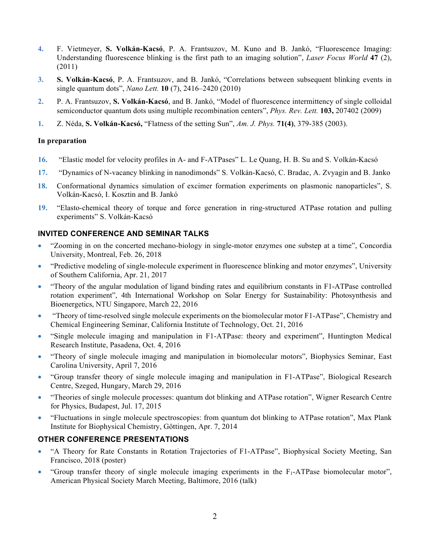- **4.** F. Vietmeyer, **S. Volkán-Kacsó**, P. A. Frantsuzov, M. Kuno and B. Jankó, "Fluorescence Imaging: Understanding fluorescence blinking is the first path to an imaging solution", *Laser Focus World* **47** (2), (2011)
- **3. S. Volkán-Kacsó**, P. A. Frantsuzov, and B. Jankó, "Correlations between subsequent blinking events in single quantum dots", *Nano Lett.* **10** (7), 2416–2420 (2010)
- **2.** P. A. Frantsuzov, **S. Volkán-Kacsó**, and B. Jankó, "Model of fluorescence intermittency of single colloidal semiconductor quantum dots using multiple recombination centers", *Phys. Rev. Lett.* **103,** 207402 (2009)
- **1.** Z. Néda, **S. Volkán-Kacsó,** "Flatness of the setting Sun", *Am. J. Phys.* **71(4)**, 379-385 (2003).

### **In preparation**

- **16.** "Elastic model for velocity profiles in A- and F-ATPases" L. Le Quang, H. B. Su and S. Volkán-Kacsó
- **17.** "Dynamics of N-vacancy blinking in nanodimonds" S. Volkán-Kacsó, C. Bradac, A. Zvyagin and B. Janko
- **18.** Conformational dynamics simulation of excimer formation experiments on plasmonic nanoparticles", S. Volkán-Kacsó, I. Kosztin and B. Jankó
- **19.** "Elasto-chemical theory of torque and force generation in ring-structured ATPase rotation and pulling experiments" S. Volkán-Kacsó

# **INVITED CONFERENCE AND SEMINAR TALKS**

- "Zooming in on the concerted mechano-biology in single-motor enzymes one substep at a time", Concordia University, Montreal, Feb. 26, 2018
- "Predictive modeling of single-molecule experiment in fluorescence blinking and motor enzymes", University of Southern California, Apr. 21, 2017
- "Theory of the angular modulation of ligand binding rates and equilibrium constants in F1-ATPase controlled rotation experiment", 4th International Workshop on Solar Energy for Sustainability: Photosynthesis and Bioenergetics, NTU Singapore, March 22, 2016
- "Theory of time-resolved single molecule experiments on the biomolecular motor F1-ATPase", Chemistry and Chemical Engineering Seminar, California Institute of Technology, Oct. 21, 2016
- "Single molecule imaging and manipulation in F1-ATPase: theory and experiment", Huntington Medical Research Institute, Pasadena, Oct. 4, 2016
- "Theory of single molecule imaging and manipulation in biomolecular motors", Biophysics Seminar, East Carolina University, April 7, 2016
- "Group transfer theory of single molecule imaging and manipulation in F1-ATPase", Biological Research Centre, Szeged, Hungary, March 29, 2016
- "Theories of single molecule processes: quantum dot blinking and ATPase rotation", Wigner Research Centre for Physics, Budapest, Jul. 17, 2015
- "Fluctuations in single molecule spectroscopies: from quantum dot blinking to ATPase rotation", Max Plank Institute for Biophysical Chemistry, Göttingen, Apr. 7, 2014

# **OTHER CONFERENCE PRESENTATIONS**

- "A Theory for Rate Constants in Rotation Trajectories of F1-ATPase", Biophysical Society Meeting, San Francisco, 2018 (poster)
- "Group transfer theory of single molecule imaging experiments in the  $F_1$ -ATPase biomolecular motor", American Physical Society March Meeting, Baltimore, 2016 (talk)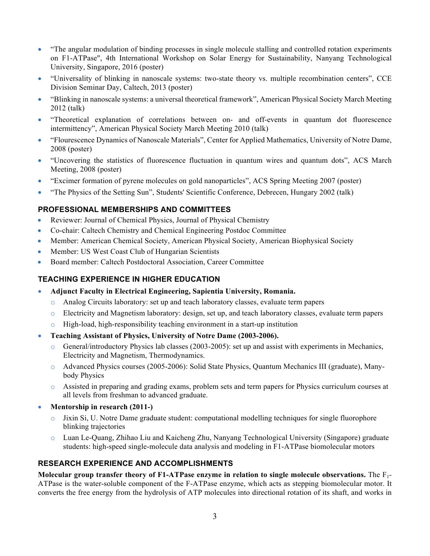- "The angular modulation of binding processes in single molecule stalling and controlled rotation experiments on F1-ATPase", 4th International Workshop on Solar Energy for Sustainability, Nanyang Technological University, Singapore, 2016 (poster)
- "Universality of blinking in nanoscale systems: two-state theory vs. multiple recombination centers", CCE Division Seminar Day, Caltech, 2013 (poster)
- "Blinking in nanoscale systems: a universal theoretical framework", American Physical Society March Meeting 2012 (talk)
- "Theoretical explanation of correlations between on- and off-events in quantum dot fluorescence intermittency", American Physical Society March Meeting 2010 (talk)
- "Flourescence Dynamics of Nanoscale Materials", Center for Applied Mathematics, University of Notre Dame, 2008 (poster)
- "Uncovering the statistics of fluorescence fluctuation in quantum wires and quantum dots", ACS March Meeting, 2008 (poster)
- "Excimer formation of pyrene molecules on gold nanoparticles", ACS Spring Meeting 2007 (poster)
- "The Physics of the Setting Sun", Students' Scientific Conference, Debrecen, Hungary 2002 (talk)

# **PROFESSIONAL MEMBERSHIPS AND COMMITTEES**

- Reviewer: Journal of Chemical Physics, Journal of Physical Chemistry
- Co-chair: Caltech Chemistry and Chemical Engineering Postdoc Committee
- Member: American Chemical Society, American Physical Society, American Biophysical Society
- Member: US West Coast Club of Hungarian Scientists
- Board member: Caltech Postdoctoral Association, Career Committee

# **TEACHING EXPERIENCE IN HIGHER EDUCATION**

- **Adjunct Faculty in Electrical Engineering, Sapientia University, Romania.** 
	- o Analog Circuits laboratory: set up and teach laboratory classes, evaluate term papers
	- o Electricity and Magnetism laboratory: design, set up, and teach laboratory classes, evaluate term papers
	- High-load, high-responsibility teaching environment in a start-up institution
- **Teaching Assistant of Physics, University of Notre Dame (2003-2006).**
	- $\circ$  General/introductory Physics lab classes (2003-2005): set up and assist with experiments in Mechanics, Electricity and Magnetism, Thermodynamics.
	- o Advanced Physics courses (2005-2006): Solid State Physics, Quantum Mechanics III (graduate), Manybody Physics
	- o Assisted in preparing and grading exams, problem sets and term papers for Physics curriculum courses at all levels from freshman to advanced graduate.
- **Mentorship in research (2011-)**
	- $\circ$  Jixin Si, U. Notre Dame graduate student: computational modelling techniques for single fluorophore blinking trajectories
	- o Luan Le-Quang, Zhihao Liu and Kaicheng Zhu, Nanyang Technological University (Singapore) graduate students: high-speed single-molecule data analysis and modeling in F1-ATPase biomolecular motors

# **RESEARCH EXPERIENCE AND ACCOMPLISHMENTS**

**Molecular group transfer theory of F1-ATPase enzyme in relation to single molecule observations.** The F1- ATPase is the water-soluble component of the F-ATPase enzyme, which acts as stepping biomolecular motor. It converts the free energy from the hydrolysis of ATP molecules into directional rotation of its shaft, and works in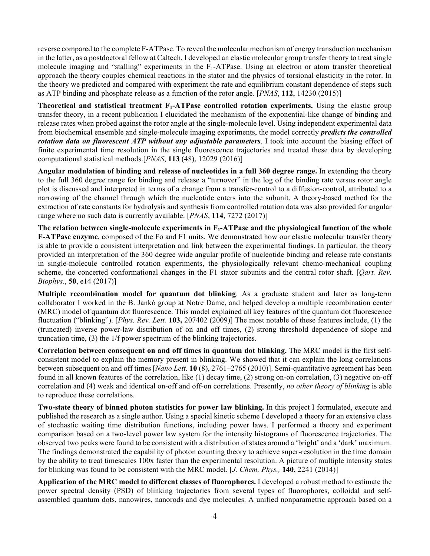reverse compared to the complete F-ATPase. To reveal the molecular mechanism of energy transduction mechanism in the latter, as a postdoctoral fellow at Caltech, I developed an elastic molecular group transfer theory to treat single molecule imaging and "stalling" experiments in the F<sub>1</sub>-ATPase. Using an electron or atom transfer theoretical approach the theory couples chemical reactions in the stator and the physics of torsional elasticity in the rotor. In the theory we predicted and compared with experiment the rate and equilibrium constant dependence of steps such as ATP binding and phosphate release as a function of the rotor angle. [*PNAS*, **112**, 14230 (2015)]

**Theoretical and statistical treatment F<sub>1</sub>-ATPase controlled rotation experiments.** Using the elastic group transfer theory, in a recent publication I elucidated the mechanism of the exponential-like change of binding and release rates when probed against the rotor angle at the single-molecule level. Using independent experimental data from biochemical ensemble and single-molecule imaging experiments, the model correctly *predicts the controlled rotation data on fluorescent ATP without any adjustable parameters*. I took into account the biasing effect of finite experimental time resolution in the single fluorescence trajectories and treated these data by developing computational statistical methods.[*PNAS*, **113** (48), 12029 (2016)]

**Angular modulation of binding and release of nucleotides in a full 360 degree range.** In extending the theory to the full 360 degree range for binding and release a "turnover" in the log of the binding rate versus rotor angle plot is discussed and interpreted in terms of a change from a transfer-control to a diffusion-control, attributed to a narrowing of the channel through which the nucleotide enters into the subunit. A theory-based method for the extraction of rate constants for hydrolysis and synthesis from controlled rotation data was also provided for angular range where no such data is currently available. [*PNAS*, **114**, 7272 (2017)]

**The relation between single-molecule experiments in F1-ATPase and the physiological function of the whole F-ATPase enzyme**, composed of the Fo and F1 units. We demonstrated how our elastic molecular transfer theory is able to provide a consistent interpretation and link between the experimental findings. In particular, the theory provided an interpretation of the 360 degree wide angular profile of nucleotide binding and release rate constants in single-molecule controlled rotation experiments, the physiologically relevant chemo-mechanical coupling scheme, the concerted conformational changes in the F1 stator subunits and the central rotor shaft. [*Qart. Rev. Biophys.*, **50**, e14 (2017)]

**Multiple recombination model for quantum dot blinking**. As a graduate student and later as long-term collaborator I worked in the B. Jankó group at Notre Dame, and helped develop a multiple recombination center (MRC) model of quantum dot fluorescence. This model explained all key features of the quantum dot fluorescence fluctuation ("blinking"). [*Phys. Rev. Lett.* **103,** 207402 (2009)] The most notable of these features include, (1) the (truncated) inverse power-law distribution of on and off times, (2) strong threshold dependence of slope and truncation time, (3) the 1/f power spectrum of the blinking trajectories.

**Correlation between consequent on and off times in quantum dot blinking.** The MRC model is the first selfconsistent model to explain the memory present in blinking. We showed that it can explain the long correlations between subsequent on and off times [*Nano Lett.* **10** (8), 2761–2765 (2010)]. Semi-quantitative agreement has been found in all known features of the correlation, like (1) decay time, (2) strong on-on correlation, (3) negative on-off correlation and (4) weak and identical on-off and off-on correlations. Presently, *no other theory of blinking* is able to reproduce these correlations.

**Two-state theory of binned photon statistics for power law blinking.** In this project I formulated, execute and published the research as a single author. Using a special kinetic scheme I developed a theory for an extensive class of stochastic waiting time distribution functions, including power laws. I performed a theory and experiment comparison based on a two-level power law system for the intensity histograms of fluorescence trajectories. The observed two peaks were found to be consistent with a distribution of states around a 'bright' and a 'dark' maximum. The findings demonstrated the capability of photon counting theory to achieve super-resolution in the time domain by the ability to treat timescales 100x faster than the experimental resolution. A picture of multiple intensity states for blinking was found to be consistent with the MRC model. [*J. Chem. Phys.,* **140**, 2241 (2014)]

**Application of the MRC model to different classes of fluorophores.** I developed a robust method to estimate the power spectral density (PSD) of blinking trajectories from several types of fluorophores, colloidal and selfassembled quantum dots, nanowires, nanorods and dye molecules. A unified nonparametric approach based on a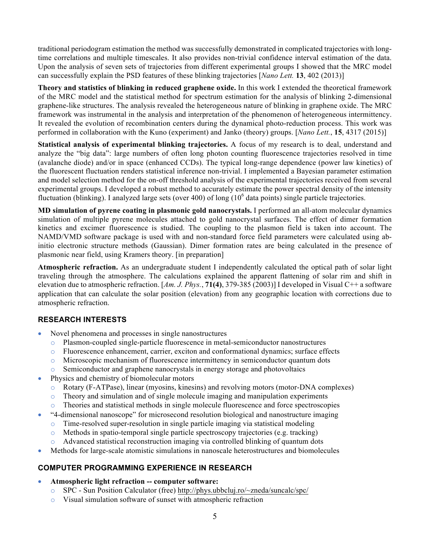traditional periodogram estimation the method was successfully demonstrated in complicated trajectories with longtime correlations and multiple timescales. It also provides non-trivial confidence interval estimation of the data. Upon the analysis of seven sets of trajectories from different experimental groups I showed that the MRC model can successfully explain the PSD features of these blinking trajectories [*Nano Lett.* **13**, 402 (2013)]

**Theory and statistics of blinking in reduced graphene oxide.** In this work I extended the theoretical framework of the MRC model and the statistical method for spectrum estimation for the analysis of blinking 2-dimensional graphene-like structures. The analysis revealed the heterogeneous nature of blinking in graphene oxide. The MRC framework was instrumental in the analysis and interpretation of the phenomenon of heterogeneous intermittency. It revealed the evolution of recombination centers during the dynamical photo-reduction process. This work was performed in collaboration with the Kuno (experiment) and Janko (theory) groups. [*Nano Lett.*, **15**, 4317 (2015)]

**Statistical analysis of experimental blinking trajectories.** A focus of my research is to deal, understand and analyze the "big data": large numbers of often long photon counting fluorescence trajectories resolved in time (avalanche diode) and/or in space (enhanced CCDs). The typical long-range dependence (power law kinetics) of the fluorescent fluctuation renders statistical inference non-trivial. I implemented a Bayesian parameter estimation and model selection method for the on-off threshold analysis of the experimental trajectories received from several experimental groups. I developed a robust method to accurately estimate the power spectral density of the intensity fluctuation (blinking). I analyzed large sets (over 400) of long  $(10<sup>6</sup>$  data points) single particle trajectories.

**MD simulation of pyrene coating in plasmonic gold nanocrystals.** I performed an all-atom molecular dynamics simulation of multiple pyrene molecules attached to gold nanocrystal surfaces. The effect of dimer formation kinetics and excimer fluorescence is studied. The coupling to the plasmon field is taken into account. The NAMD/VMD software package is used with and non-standard force field parameters were calculated using abinitio electronic structure methods (Gaussian). Dimer formation rates are being calculated in the presence of plasmonic near field, using Kramers theory. [in preparation]

**Atmospheric refraction.** As an undergraduate student I independently calculated the optical path of solar light traveling through the atmosphere. The calculations explained the apparent flattening of solar rim and shift in elevation due to atmospheric refraction. [*Am. J. Phys.*, **71(4)**, 379-385 (2003)] I developed in Visual C++ a software application that can calculate the solar position (elevation) from any geographic location with corrections due to atmospheric refraction.

# **RESEARCH INTERESTS**

- Novel phenomena and processes in single nanostructures
	- o Plasmon-coupled single-particle fluorescence in metal-semiconductor nanostructures
	- o Fluorescence enhancement, carrier, exciton and conformational dynamics; surface effects
	- $\circ$  Microscopic mechanism of fluorescence intermittency in semiconductor quantum dots
	- $\circ$  Semiconductor and graphene nanocrystals in energy storage and photovoltaics
- Physics and chemistry of biomolecular motors
	- o Rotary (F-ATPase), linear (myosins, kinesins) and revolving motors (motor-DNA complexes)
	- $\circ$  Theory and simulation and of single molecule imaging and manipulation experiments
	- o Theories and statistical methods in single molecule fluorescence and force spectroscopies
- "4-dimensional nanoscope" for microsecond resolution biological and nanostructure imaging
	- $\circ$  Time-resolved super-resolution in single particle imaging via statistical modeling
	- o Methods in spatio-temporal single particle spectroscopy trajectories (e.g. tracking)
	- o Advanced statistical reconstruction imaging via controlled blinking of quantum dots
- Methods for large-scale atomistic simulations in nanoscale heterostructures and biomolecules

# **COMPUTER PROGRAMMING EXPERIENCE IN RESEARCH**

- **Atmospheric light refraction -- computer software:** 
	- o SPC Sun Position Calculator (free) http://phys.ubbcluj.ro/~zneda/suncalc/spc/
	- o Visual simulation software of sunset with atmospheric refraction